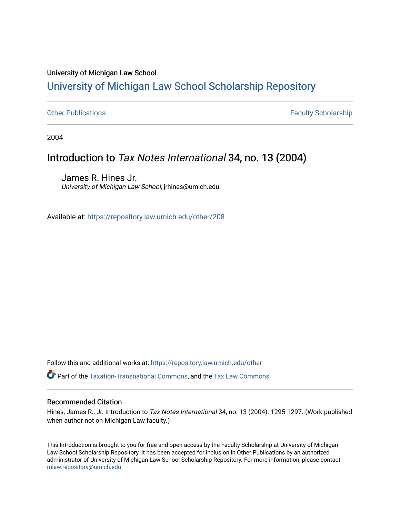# University of Michigan Law School [University of Michigan Law School Scholarship Repository](https://repository.law.umich.edu/)

[Other Publications](https://repository.law.umich.edu/other) **Faculty Scholarship Faculty Scholarship Faculty Scholarship** 

2004

# Introduction to Tax Notes International 34, no. 13 (2004)

James R. Hines Jr. University of Michigan Law School, jrhines@umich.edu

Available at: <https://repository.law.umich.edu/other/208>

Follow this and additional works at: [https://repository.law.umich.edu/other](https://repository.law.umich.edu/other?utm_source=repository.law.umich.edu%2Fother%2F208&utm_medium=PDF&utm_campaign=PDFCoverPages)

Part of the [Taxation-Transnational Commons](https://network.bepress.com/hgg/discipline/883?utm_source=repository.law.umich.edu%2Fother%2F208&utm_medium=PDF&utm_campaign=PDFCoverPages), and the [Tax Law Commons](https://network.bepress.com/hgg/discipline/898?utm_source=repository.law.umich.edu%2Fother%2F208&utm_medium=PDF&utm_campaign=PDFCoverPages) 

### Recommended Citation

Hines, James R., Jr. Introduction to Tax Notes International 34, no. 13 (2004): 1295-1297. (Work published when author not on Michigan Law faculty.)

This Introduction is brought to you for free and open access by the Faculty Scholarship at University of Michigan Law School Scholarship Repository. It has been accepted for inclusion in Other Publications by an authorized administrator of University of Michigan Law School Scholarship Repository. For more information, please contact [mlaw.repository@umich.edu.](mailto:mlaw.repository@umich.edu)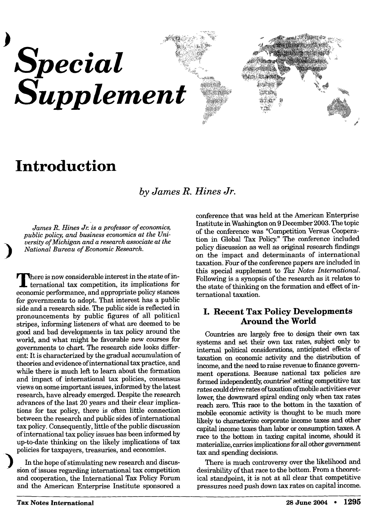

# **Introduction**

*by James R. Hines Jr.* 

*James R. Hines Jr. is a professor of economics, public policy, and business economics at the University of Michigan and a research associate at the National Bureau of Economic Research.* 

There is now considerable interest in the state of international tax competition, its implications for **here is now considerable interest in the state of ineconomic performance, and appropriate policy stances for governments to adopt. That interest has a public side and a research side. The public side is reflected in pronouncements by public figures of all political stripes, informing listeners of what are deemed to be good and bad developments in tax policy around the world, and what might be favorable new courses for governments to chart. The research side looks different: It is characterized by the gradual accumulation of theories and evidence of international tax practice, and while there is much left to learn about the formation and impact of international tax policies, consensus views on some important issues, informed by the latest research, have already emerged. Despite the research advances of the last 20 years and their clear implications for tax policy, there is often little connection between the research and public sides of international tax policy. Consequently, little of the public discussion of international tax policy issues has been informed by up-to-date thinking on the likely implications of tax policies for taxpayers, treasuries, and economies.** 

**In the hope of stimulating new research and discussion of issues regarding international tax competition and cooperation, the International Tax Policy Forum and the American Enterprise Institute sponsored a** 

**conference that was held at the American Enterprise Institute in Washington on 9 December 2003. The topic of the conference was "Competition Versus Cooperation in Global Tax Policy." The conference included policy discussion as well as original research findings on the impact and determinants of international taxation. Four of the conference papers are included in this special supplement to** *Tax Notes International.*  **Following is a synopsis of the research as it relates to the state of thinking on the formation and effect of international taxation.** 

### **I. Recent Tax Policy Developments Around the World**

**Countries are largely free to design their own tax systems and set their own tax rates, subject only to internal political considerations, anticipated effects of taxation on economic activity and the distribution of income, and the need to raise revenue to finance government operations. Because national tax policies are formed independently, countries' setting competitive tax rates could drive rates of taxation of mobile activities ever lower, the downward spiral ending only when tax rates reach zero. This race to the bottom in the taxation of mobile economic activity is thought to be much more likely to characterize corporate income taxes and other capital income taxes than labor or consumption taxes. A race to the bottom in taxing capital income, should it materialize, carries implications for all other government tax and spending decisions.** 

**There is much controversy over the likelihood and desirability of that race to the bottom. From a theoretical standpoint, it is not at all clear that competitive pressures need push down tax rates on capital income.**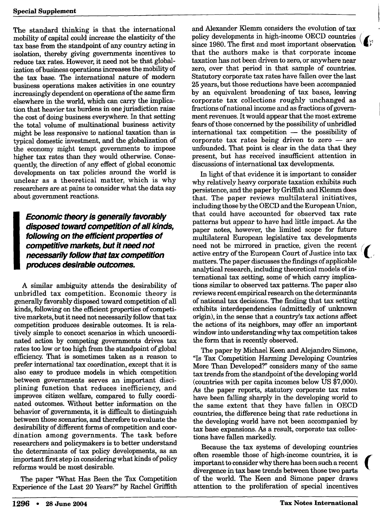**The standard thinking is that the international mobility of capital could increase the elasticity of the tax base from the standpoint of any country acting in isolation, thereby giving governments incentives to reduce tax rates. However, it need not be that globalization of business operations increases the mobility of the tax base. The international nature of modern business operations makes activities in one country increasingly dependent on operations of the same firm elsewhere in the world, which can carry the implication that heavier tax burdens in one jurisdiction raise the cost of doing business everywhere. In that setting the total volume of multinational business activity might be less responsive to national taxation than is typical domestic investment, and the globalization of the economy might tempt governments to impose higher tax rates than they would otherwise. Consequently, the direction of any effect of global economic developments on tax policies around the world is unclear as a theoretical matter, which is why researchers are at pains to consider what the data say about government reactions.** 

*I* necessarily follow that tax competition produces desirable outcomes. *Economic theory is generally favorably disposed toward competition of all kinds, following on the efficient properties of competitive markets, but it need not produces desirable outcomes.* 

**A similar ambiguity attends the desirability of unbridled tax competition. Economic theory is generally favorably disposed toward competition of all kinds, following on the efficient properties of competitive markets, but it need not necessarily follow that tax competition produces desirable outcomes. It is relatively simple to concoct scenarios in which uncoordinated action by competing governments drives tax rates too low or too high from the standpoint of global efficiency. That is sometimes taken as a reason to prefer international tax coordination, except that it is also easy to produce models in which competition between governments serves an important disciplining function that reduces inefficiency, and improves citizen welfare, compared to fully coordinated outcomes. Without better information on the behavior of governments, it is difficult to distinguish between those scenarios, and therefore to evaluate the desirability of different forms of competition and coordination among governments. The task before researchers and policymakers is to better understand the determinants of tax policy developments, as an important first step in considering what kinds of policy reforms would be most desirable.** 

**The paper "What Has Been the Tax Competition Experience of the Last 20 Years?" by Rachel Griffith**  **and Alexander Klemm considers the evolution of tax policy developments in high-income OECD countries since 1980. The first and most important observation that the authors make is that corporate income taxation has not been driven to zero, or anywhere near zero, over that period in that sample of countries. Statutory corporate tax rates have fallen over the last 25 years, but those reductions have been accompanied by an equivalent broadening of tax bases, leaving corporate tax collections roughly unchanged as fractions of national income and as fractions of government revenues. It would appear that the most extreme fears of those concerned by the possibility of unbridled international tax competition — the possibility of corporate tax rates being driven to zero — are unfounded. That point is clear in the data that they present, but has received insufficient attention in discussions of international tax developments.** 

**In light of that evidence it is important to consider why relatively heavy corporate taxation exhibits such persistence, and the paper by Griffith and Klemm does that. The paper reviews multilateral initiatives, including those by the OECD and the European Union, that could have accounted for observed tax rate patterns but appear to have had little impact. As the paper notes, however, the limited scope for future multilateral European legislative tax developments need not be mirrored in practice, given the recent active entry of the European Court of Justice into tax matters. The paper discusses the findings of applicable analytical research, including theoretical models of international tax setting, some of which carry implications similar to observed tax patterns. The paper also reviews recent empirical research on the determinants of national tax decisions. The finding that tax setting exhibits interdependencies (admittedly of unknown origin), in the sense that a country's tax actions affect the actions of its neighbors, may offer an important window into understanding why tax competition takes the form that is recently observed.** 

**The paper by Michael Keen and Alejandro Simone, "Is Tax Competition Harming Developing Countries More Than Developed?" considers many of the same tax trends from the standpoint of the developing world (countries with per capita incomes below US \$7,000). As the paper reports, statutory corporate tax rates have been falling sharply in the developing world to the same extent that they have fallen in OECD countries, the difference being that rate reductions in the developing world have not been accompanied by tax base expansions. As a result, corporate tax collections have fallen markedly.** 

**Because the tax systems of developing countries often resemble those of high-income countries, it is important to consider why there has been such a recent divergence in tax base trends between those two parts of the world. The Keen and Simone paper draws attention to the proliferation of special incentives**